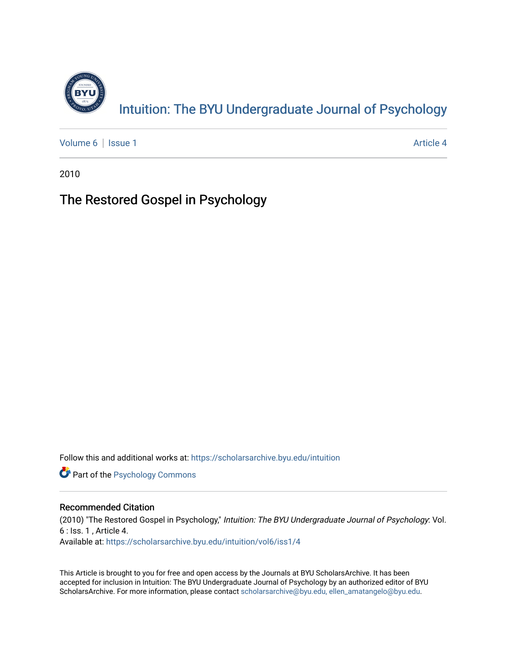

[Volume 6](https://scholarsarchive.byu.edu/intuition/vol6) | [Issue 1](https://scholarsarchive.byu.edu/intuition/vol6/iss1) Article 4

2010

## The Restored Gospel in Psychology

Follow this and additional works at: [https://scholarsarchive.byu.edu/intuition](https://scholarsarchive.byu.edu/intuition?utm_source=scholarsarchive.byu.edu%2Fintuition%2Fvol6%2Fiss1%2F4&utm_medium=PDF&utm_campaign=PDFCoverPages) 

**Part of the Psychology Commons** 

### Recommended Citation

(2010) "The Restored Gospel in Psychology," Intuition: The BYU Undergraduate Journal of Psychology: Vol. 6 : Iss. 1 , Article 4. Available at: [https://scholarsarchive.byu.edu/intuition/vol6/iss1/4](https://scholarsarchive.byu.edu/intuition/vol6/iss1/4?utm_source=scholarsarchive.byu.edu%2Fintuition%2Fvol6%2Fiss1%2F4&utm_medium=PDF&utm_campaign=PDFCoverPages)

This Article is brought to you for free and open access by the Journals at BYU ScholarsArchive. It has been accepted for inclusion in Intuition: The BYU Undergraduate Journal of Psychology by an authorized editor of BYU ScholarsArchive. For more information, please contact [scholarsarchive@byu.edu, ellen\\_amatangelo@byu.edu.](mailto:scholarsarchive@byu.edu,%20ellen_amatangelo@byu.edu)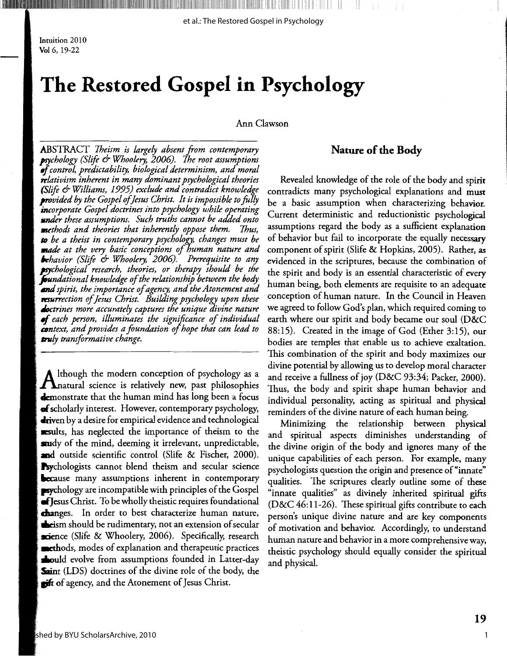Intuition 2010 Vol 6, 19-22

## The Restored Gospel in Psychology

Ann Clawson

**ABSTRACT** Theism is largely absent from contemporary psychology (Slife & Whoolery, 2006). The root assumptions of control, predictability, biological determinism, and moral  $\tau$ elativism inherent in many dominant psychological theories (Slife & Williams, 1995) exclude and contradict knowledge  $\boldsymbol{p}$ rovided by the Gospel of Jesus Christ. It is impossible to fully **in**corporate Gospel doctrines into psychology while operating under these assumptions. Such truths cannot be added onto **m**ethods and theories that inherently oppose them. Thus, **to** be a theist in contemporary psychology, changes must be **made** at the very basic conceptions of human nature and **b**ehavior (Slife & Whoolery, 2006). Prerequisite to any psychological research, theories, or therapy should be the **fou**ndational knowledge of the relationship between the body  $\epsilon$ nd spirit, the importance of agency, and the Atonement and resurrection of Jesus Christ. Building psychology upon these doctrines more accurately captures the unique divine nature  $\bullet$ f each person, illuminates the significance of individual **con**text, and provides a foundation of hope that can lead to **tru**ly transformative change.

Ithough the modern conception of psychology as a  $\boldsymbol{\Lambda}$ natural science is relatively new, past philosophies **demonstrate that the human mind has long been a focus** of scholarly interest. However, contemporary psychology, **dri**ven by a desire for empirical evidence and technological **Example** sexults, has neglected the importance of theism to the audy of the mind, deeming it irrelevant, unpredictable, and outside scientific control (Slife & Fischer, 2000). **Psychologists** cannot blend theism and secular science **Secause** many assumptions inherent in contemporary  $\blacktriangleright$ sychology are incompatible with principles of the Gospel  $\bullet$  Jesus Christ. To be wholly theistic requires foundational **changes.** In order to best characterize human nature, cheism should be rudimentary, not an extension of secular science (Slife & Whoolery, 2006). Specifically, research **numeries** and esset explanation and therapeutic practices **Sould** evolve from assumptions founded in Latter-day Saint (LDS) doctrines of the divine role of the body, the of agency, and the Atonement of Jesus Christ.

## **Nature of the Body**

Revealed knowledge of the role of the body and spirit contradicts many psychological explanations and must be a basic assumption when characterizing behavior. Current deterministic and reductionistic psychological assumptions regard the body as a sufficient explanation of behavior but fail to incorporate the equally necessary component of spirit (Slife & Hopkins, 2005). Rather, as evidenced in the scriptures, because the combination of the spirit and body is an essential characteristic of every human being, both elements are requisite to an adequate conception of human nature. In the Council in Heaven we agreed to follow God's plan, which required coming to earth where our spirit and body became our soul (D&C 88:15). Created in the image of God (Ether 3:15), our bodies are temples that enable us to achieve exaltation. This combination of the spirit and body maximizes our divine potential by allowing us to develop moral character and receive a fullness of joy (D&C 93:34; Packer, 2000). Thus, the body and spirit shape human behavior and individual personality, acting as spiritual and physical reminders of the divine nature of each human being.

Minimizing the relationship between physical and spiritual aspects diminishes understanding of the divine origin of the body and ignores many of the unique capabilities of each person. For example, many psychologists question the origin and presence of "innate" qualities. The scriptures clearly outline some of these "innate qualities" as divinely inherited spiritual gifts (D&C  $46:11-26$ ). These spiritual gifts contribute to each person's unique divine nature and are key components of motivation and behavior. Accordingly, to understand human nature and behavior in a more comprehensive way, theistic psychology should equally consider the spiritual and physical.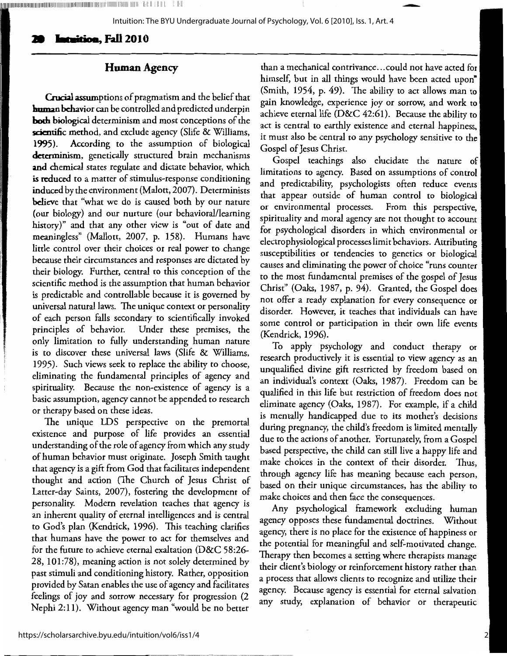## **Ja I -i•i-w, Fall 2010**

## **Human Agency**

1111111 <sup>1</sup> ,<sup>11111111111111111111111111111111111111111111111</sup> <sup>1</sup> 11',',111111, 11111,11111 11111111 II! 111 1 1 , 11. '• 111,

**Crucial** assumptions of pragmatism and the belief that **l:mmao** hchavior can be controlled and predicted underpin **both biological** determinism and most conceptions of the scientific method, and exclude agency (Slife & Williams, **1995).** According to the assumption of biological **determinism,** genetically structured brain mechanisms **and** chemical states regulate and dictate behavior, which is reduced to a matter of stimulus-response conditioning induced by the environment (Malott, 2007). Determinists believe that "what we do is caused both by our nature (our biology) and our nurture (our behavioral/learning history)" and that any other view is "out of date and meaningless" (Mallott, 2007, p. 158). Humans have little control over their choices or real power to change because their circumstances and responses are dictated by their biology. Further, central to this conception of the scientific method is the assumption that human behavior is predictable and controllable because it is governed by universal natural laws. The unique context or personality of each person falls secondary to scientifically invoked principles of behavior. Under these premises, the only limitation to fully understanding human nature is to discover these universal laws (Slife & Williams, 1995). Such views seek to replace the ability to choose, eliminating the fundamental principles of agency and spirituality. Because the non-existence of agency is a basic assumption, agency cannot be appended to research or therapy based on these ideas.

The unique LDS perspective on the premortal existence and purpose of life provides an essential understanding of the role of agency from which any study of human behavior must originate. Joseph Smith taught that agency is a gift from God that facilitates independent thought and action (The Church of Jesus Christ of Latter-day Saints, 2007), fostering the development of personality. Modern revelation teaches that agency is an inherent quality of eternal intelligences and is central to God's plan (Kendrick, 1996). This teaching clarifies that humans have the power to act for themselves and for the future to achieve eternal exaltation (D&C 58:26- 28, 101:78), meaning action is not solely determined by past stimuli and conditioning history. Rather, opposition provided by Satan enables the use of agency and facilitates feelings of joy and sorrow necessary for progression (2 Nephi 2:11). Without agency man "would be no better

than a mechanical contrivance ... could not have acted **for**  himself, but in all things would have been acted upon" (Smith, 1954, p. 49). The ability to act allows man to gain knowledge, experience joy or sorrow, and work to achieve eternal life (D&C 42:61). Because the ability to act is central to earthly existence and eternal happiness, it must also be central to any psychology sensitive to the Gospel of Jesus Christ.

-

Gospel teachings also elucidate the nature of limitations to agency. Based on assumptions of control and predictability, psychologists often reduce events that appear outside of human control to biological or environmental processes. From this perspective, spirituality and moral agency are not thought to account for psychological disorders in which environmental or , electrophysiological processes limit behaviors. Attributing susceptibilities or tendencies to genetics or biological causes and eliminating the power of choice "runs counter to the most fundamental premises of the gospel of Jesus Christ" (Oaks, 1987, p. 94). Granted, the Gospel does not offer a ready explanation for every consequence or disorder. However, it teaches that individuals can have some control or participation in their own life events (Kendrick, 1996).

To apply psychology and conduct therapy or research productively it is essential to view agency as an unqualified divine gift restricted by freedom based on an individual's context (Oaks, 1987). Freedom can be qualified in this life but restriction of freedom does not eliminate agency (Oaks, 1987). For example, if a child is mentally handicapped due to its mother's decisions during pregnancy, the child's freedom is limited mentally due to the actions of another. Fortunately, from a Gospel based perspective, the child can still live a happy life and make choices in the context of their disorder. Thus, through agency life has meaning because each person, based on their unique circumstances, has the ability to make choices and then face the consequences.

Any psychological framework excluding human agency opposes these fundamental doctrines. Without agency, there is no place for the existence of happiness or the potential for meaningful and self-motivated change. Therapy then becomes a setting where therapists manage their client's biology or reinforcement history rather than a process that allows clients to recognize and utilize their agency. Because agency is essential for eternal salvation any study, explanation of behavior or therapeutic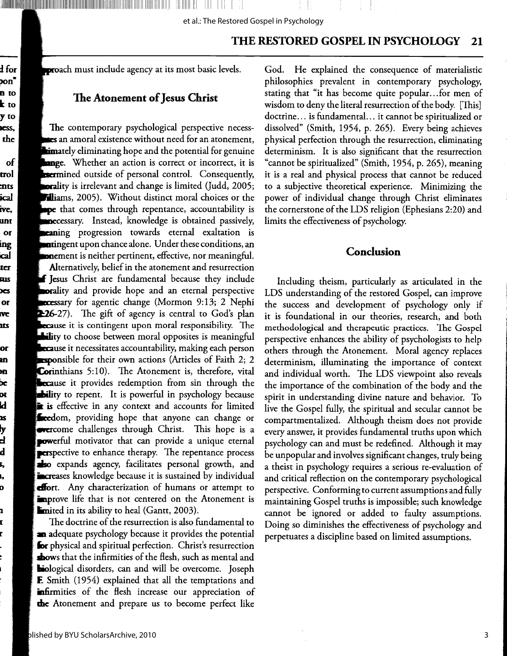D

et al.: The Restored Gospel in Psychology

#### THE RESTORED GOSPEL IN PSYCHOLOGY 21

proach must include agency at its most basic levels.

alam baggana manusia manusia da salah sahiji da

## The Atonement of Jesus Christ

The contemporary psychological perspective necesses an amoral existence without need for an atonement, imately eliminating hope and the potential for genuine ange. Whether an action is correct or incorrect, it is **Exermined** outside of personal control. Consequently, **ora**lity is irrelevant and change is limited (Judd, 2005; **Hiams**, 2005). Without distinct moral choices or the pe that comes through repentance, accountability is necessary. Instead, knowledge is obtained passively, **eaning** progression towards eternal exaltation is **nti**ngent upon chance alone. Under these conditions, an **one**ment is neither pertinent, effective, nor meaningful.

**Alternatively, belief in the atonement and resurrection f Je**sus Christ are fundamental because they include **porality** and provide hope and an eternal perspective cessary for agentic change (Mormon 9:13; 2 Nephi 226-27). The gift of agency is central to God's plan **ecause** it is contingent upon moral responsibility. The ity to choose between moral opposites is meaningful cause it necessitates accountability, making each person  $\blacksquare$ ponsible for their own actions (Articles of Faith 2; 2 **Corinthians** 5:10). The Atonement is, therefore, vital **Secause** it provides redemption from sin through the **bility** to repent. It is powerful in psychology because is effective in any context and accounts for limited streedom, providing hope that anyone can change or **Exercome** challenges through Christ. This hope is a **powerful** motivator that can provide a unique eternal **Perspective to enhance therapy.** The repentance process so expands agency, facilitates personal growth, and **Excre**ases knowledge because it is sustained by individual effort. Any characterization of humans or attempt to **improve** life that is not centered on the Atonement is **Emited in its ability to heal (Gantt, 2003).** 

The doctrine of the resurrection is also fundamental to an adequate psychology because it provides the potential for physical and spiritual perfection. Christ's resurrection shows that the infirmities of the flesh, such as mental and **biological disorders, can and will be overcome.** Joseph **F.** Smith (1954) explained that all the temptations and **infirmities** of the flesh increase our appreciation of the Atonement and prepare us to become perfect like

God. He explained the consequence of materialistic philosophies prevalent in contemporary psychology, stating that "it has become quite popular...for men of wisdom to deny the literal resurrection of the body. [This] doctrine... is fundamental... it cannot be spiritualized or dissolved" (Smith, 1954, p. 265). Every being achieves physical perfection through the resurrection, eliminating determinism. It is also significant that the resurrection "cannot be spiritualized" (Smith, 1954, p. 265), meaning it is a real and physical process that cannot be reduced to a subjective theoretical experience. Minimizing the power of individual change through Christ eliminates the cornerstone of the LDS religion (Ephesians 2:20) and limits the effectiveness of psychology.

## Conclusion

Including theism, particularly as articulated in the LDS understanding of the restored Gospel, can improve the success and development of psychology only if it is foundational in our theories, research, and both methodological and therapeutic practices. The Gospel perspective enhances the ability of psychologists to help others through the Atonement. Moral agency replaces determinism, illuminating the importance of context and individual worth. The LDS viewpoint also reveals the importance of the combination of the body and the spirit in understanding divine nature and behavior. To live the Gospel fully, the spiritual and secular cannot be compartmentalized. Although theism does not provide every answer, it provides fundamental truths upon which psychology can and must be redefined. Although it may be unpopular and involves significant changes, truly being a theist in psychology requires a serious re-evaluation of and critical reflection on the contemporary psychological perspective. Conforming to current assumptions and fully maintaining Gospel truths is impossible; such knowledge cannot be ignored or added to faulty assumptions. Doing so diminishes the effectiveness of psychology and perpetuates a discipline based on limited assumptions.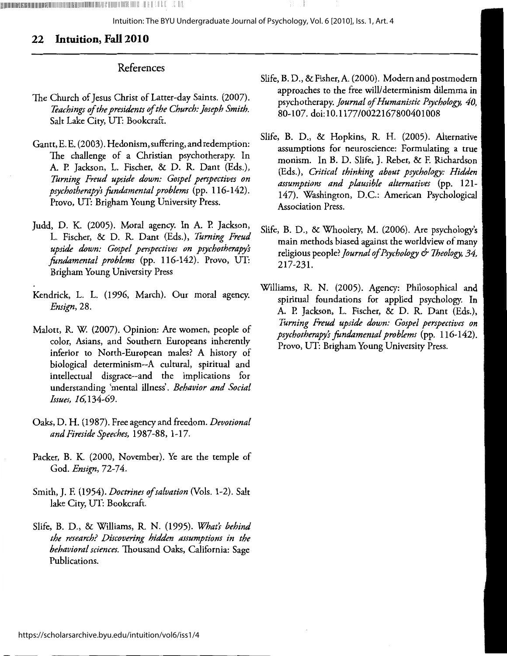## **22 Intuition, Fall 2010**

## References

;lllillllllllllllllllllllll!lllillllllllllllllllllllllllllll!llllllllllll!lllllllllllllllllllllll!lllllllllll!lllllllllllllllil'll!!llllll!lllllilllll!!illlllil 111111 :111,1 ; 111!

- The Church of Jesus Christ of Latter-day Saints. (2007). *Teachings of the presidents of the Church: Joseph Smith.*  Salt Lake City, UT: Bookcraft.
- Gantt, E. E. (2003). Hedonism, suffering, and redemption: The challenge of a Christian psychotherapy. In A. P. Jackson, L. Fischer, & D. R. Dant (Eds.), *Turning Freud upside down: Gospel perspectives on psychotherapy's fundamental problems* (pp. 116-142). Provo, UT: Brigham Young University Press.
- Judd, D. K. (2005). Moral agency. In A. P. Jackson, L. Fischer, & D. R. Dant (Eds.), *Turning Freud upside down: Gospel perspectives on psychotherapy's fondamental problems* (pp. 116-142). Provo, UT: Brigham Young University Press
- Kendrick, L. L. (1996, March). Our moral agency. *Ensign,,* 28.
- Malott, R. W. (2007). Opinion: Are women, people of color, Asians, and Southern Europeans inherently inferior to North-European males? A history of biological determinism--A cultural, spiritual and intellectual disgrace--and the implications for understanding 'mental illness'. *Behavior and Social Issues, 16,* 134-69.
- Oaks, D. H. (1987). Free agency and freedom. *Devotional and Fireside Speeches,* 1987-88, 1-17.
- Packer, B. K. (2000, November). Ye are the temple of God. *Ensign*, 72-74.
- Smith, J. F. (1954). *Doctrines of salvation* (Vols. 1-2). Salt lake City, UT: Bookcraft.
- Slife, B. D., & Williams, R. N. (1995). *What's behind the research? Discovering hidden assumptions in the behavioral sciences.* Thousand Oaks, California: Sage Publications.
- Slife, B. D., &Fisher,A. (2000). Modern and postmodern approaches to the free will/ determinism dilemma in psychotherapy. *Journal of Humanistic Psychology, 40,*  80-107. doi:10.1177/0022167800401008
- Slife, B. D., & Hopkins, R. H. (2005). Alternative assumptions for neuroscience: Formulating a true monism. In B. D. Slife, J. Reber, & F. Richardson (Eds.), *Critical thinking about psychology: Hidden assumptions and plausible alternatives* (pp. 121- 147). Washington, D.C.: American Psychological Association Press.
- Slife, B. D., & Whoolery, M. (2006). *Aie* psychology's main methods biased against the worldview of many religious people? *journal of Psychology & Theology, 34,*  217-231.
- Williams, R. N. (2005). Agency: Philosophical and spiritual foundations for applied psychology. In A. P. Jackson, L. Fischer, & D. R. Dant (Eds.), *Turning Freud upside down: Gospel perspectives on psychotherapy's fondamental problems* (pp. 116-142). Provo, UT: Brigham Young University Press.

4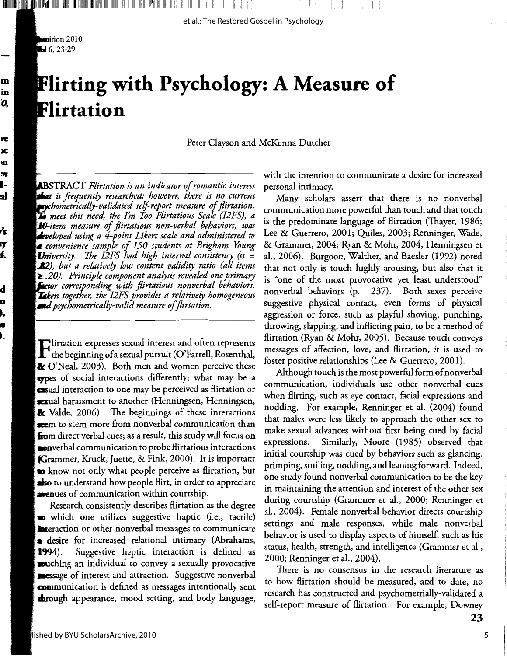muition 2010  $-6, 23-29$ 

m in О,

ĸ

x XD,

n l-

2ł

ŕs

IJ

ŧ,

d

D

),

Æ ).

# **Flirting with Psychology: A Measure of** Flirtation

Peter Clayson and McKenna Dutcher

**AB**STRACT Flirtation is an indicator of romantic interest that is frequently researched; however, there is no current **Exp**chometrically-validated self-report measure of flirtation. **To** meet this need, the I'm Too Flirtatious Scale (I2FS), a **10-**item measure of flirtatious non-verbal behaviors, was **Leve**loped using a 4-point Likert scale and administered to  $\bullet$  convenience sample of 150 students at Brigham Young **Un**iversity. The I2FS had high internal consistency ( $\alpha$  = **82**), but a relatively low content validity ratio (all items  $\geq$  .20). Principle component analysis revealed one primary **Lector** corresponding with flirtatious nonverbal behaviors. **Lek**en together, the I2FS provides a relatively homogeneous and psychometrically-valid measure of flirtation.

 $\boldsymbol{\Gamma}$ lirtation expresses sexual interest and often represents<br> $\boldsymbol{\Gamma}$  the beginning of a sexual pursuit (O'Farrell, Rosenthal,  $\&$  O'Neal, 2003). Both men and women perceive these **type**s of social interactions differently; what may be a casual interaction to one may be perceived as flirtation or sexual harassment to another (Henningsen, Henningsen,  $\&$  Valde, 2006). The beginnings of these interactions seem to stem more from nonverbal communication than **from** direct verbal cues; as a result, this study will focus on  $\bullet$  onverbal communication to probe flirtatious interactions Grammer, Kruck, Juette, & Fink, 2000). It is important **to kn**ow not only what people perceive as flirtation, but **s** to understand how people flirt, in order to appreciate **evenues** of communication within courtship.

Research consistently describes flirtation as the degree which one utilizes suggestive haptic (i.e., tactile) interaction or other nonverbal messages to communicate **a** desire for increased relational intimacy (Abrahams, Suggestive haptic interaction is defined as 1994). **cou**ching an individual to convey a sexually provocative sumessage of interest and attraction. Suggestive nonverbal communication is defined as messages intentionally sent **thro**ugh appearance, mood setting, and body language,

with the intention to communicate a desire for increased personal intimacy.

Many scholars assert that there is no nonverbal communication more powerful than touch and that touch is the predominate language of flirtation (Thayer, 1986; Lee & Guerrero, 2001; Quiles, 2003; Renninger, Wade, & Grammer, 2004; Ryan & Mohr, 2004; Henningsen et al., 2006). Burgoon, Walther, and Baesler (1992) noted that not only is touch highly arousing, but also that it is "one of the most provocative yet least understood" nonverbal behaviors (p. 237). Both sexes perceive suggestive physical contact, even forms of physical aggression or force, such as playful shoving, punching, throwing, slapping, and inflicting pain, to be a method of flirtation (Ryan & Mohr, 2005). Because touch conveys messages of affection, love, and flirtation, it is used to foster positive relationships (Lee & Guerrero, 2001).

Although touch is the most powerful form of nonverbal communication, individuals use other nonverbal cues when flirting, such as eye contact, facial expressions and nodding. For example, Renninger et al. (2004) found that males were less likely to approach the other sex to make sexual advances without first being cued by facial Similarly, Moore (1985) observed that expressions. initial courtship was cued by behaviors such as glancing, primping, smiling, nodding, and leaning forward. Indeed, one study found nonverbal communication to be the key in maintaining the attention and interest of the other sex during courtship (Grammer et al., 2000; Renninger et al., 2004). Female nonverbal behavior directs courtship settings and male responses, while male nonverbal behavior is used to display aspects of himself, such as his status, health, strength, and intelligence (Grammer et al., 2000; Renninger et al., 2004).

There is no consensus in the research literature as to how flirtation should be measured, and to date, no research has constructed and psychometrially-validated a self-report measure of flirtation. For example, Downey

5

23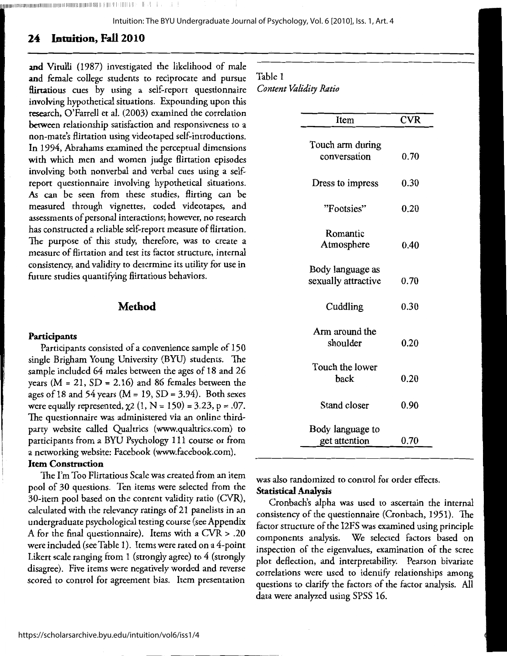"11111111111111111111111111111111111111111111111111111111111111111111111111111 <sup>1</sup> 1111111111111111111111111,111 <sup>1</sup> 111 **111** 111

Intuition: The BYU Undergraduate Journal of Psychology, Vol. 6 [2010], Iss. 1, Art. 4

## **24 Intuition, Fall 2010**

and Vitulli (1987) investigated the likelihood of male and female college students to reciprocate and pursue flirtatious cues by using a self-report questionnaire involving hypothetical situations. Expounding upon this research, O'Farrell et al. (2003) examined the correlation between relationship satisfaction and responsiveness to a non-mate's flirtation using videotaped self-introductions. In 1994, Abrahams examined the perceptual dimensions with which men and women judge flirtation episodes involving both nonverbal and verbal cues using a selfreport questionnaire involving hypothetical situations. *As* can be seen from these studies, flirting can be measured through vignettes, coded videotapes, and assessments of personal interactions; however, no research has constructed a reliable self-report measure of flirtation. The purpose of this study, therefore, was to create a measure of flirtation and test its factor structure, internal consistency, and validity to determine its utility for use in future studies quantifying flirtatious behaviors.

## **Method**

#### **Participants**

Participants consisted of a convenience sample of 150 single Brigham Young University (BYU) students. The sample included 64 males between the ages of 18 and 26 years ( $M = 21$ ,  $SD = 2.16$ ) and 86 females between the ages of 18 and 54 years (M = 19, SD = 3.94). Both sexes were equally represented,  $\chi$ 2 (1, N = 150) = 3.23, p = .07. The questionnaire was administered via an online thirdparty website called Qualtrics (www.qualtrics.com) to participants from a BYU Psychology 111 course or from a networking website: Facebook (www.facebook.com).

## **Item Construction**

The I'm Too Flirtatious Scale was created from an item pool of 30 questions. Ten items were selected from the 30-item pool based on the content validity ratio (CVR), calculated with the relevancy ratings of 21 panelists in an undergraduate psychological testing course (see Appendix A for the final questionnaire). Items with a CVR> .20 were included (see Table 1). I terns were rated on a 4-point Likert scale ranging from 1 (strongly agree) to 4 (strongly disagree). Five items were negatively worded and reverse scored to control for agreement bias. Item presentation

#### Table 1

*Content Validity Ratio* 

| Item                                    | <b>CVR</b> |
|-----------------------------------------|------------|
| Touch arm during<br>conversation        | 0.70       |
| Dress to impress                        | 0.30       |
| "Footsies"                              | 0.20       |
| Romantic<br>Atmosphere                  | 0.40       |
| Body language as<br>sexually attractive | 0.70       |
| Cuddling                                | 0.30       |
| Arm around the<br>shoulder              | 0.20       |
| Touch the lower<br>back                 | 0.20       |
| Stand closer                            | 0.90       |
| Body language to<br>get attention       | 0.70       |

was also randomized to control for order effects. **Statistical Analysis** 

Cronbach's alpha was used to ascertain the internal consistency of the questionnaire (Cronbach, 1951). The factor structure of the I2FS was examined using principle components analysis. We selected factors based on inspection of the eigenvalues, examination of the scree plot deflection, and interpretability. Pearson bivariate correlations were used to identify relationships among questions to clarify the factors of the factor analysis. All data were analyzed using SPSS 16.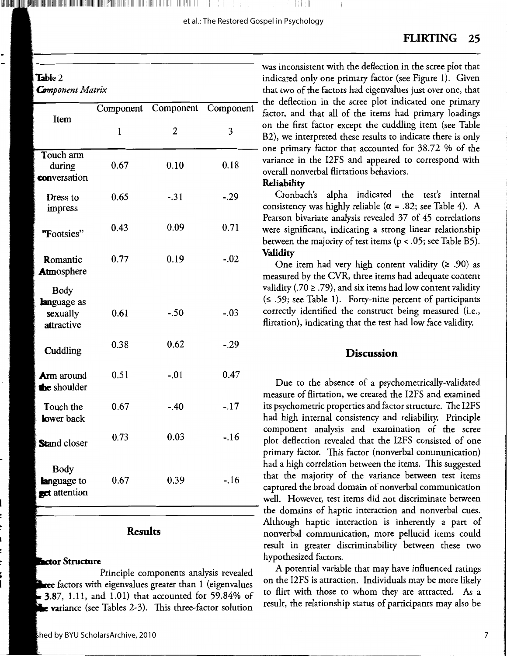## Table 2

**Com**ponent Matrix

| Item                                                 |      | Component Component Componen |         |
|------------------------------------------------------|------|------------------------------|---------|
|                                                      | 1    | 2                            | 3       |
| Touch arm<br>during<br>conversation                  | 0.67 | 0.10                         | 0.18    |
| Dress to<br>impress                                  | 0.65 | $-.31$                       | $-0.29$ |
| "Footsies"                                           | 0.43 | 0.09                         | 0.71    |
| Romantic<br>Atmosphere                               | 0.77 | 0.19                         | $-.02$  |
| <b>Body</b><br>language as<br>sexually<br>attractive | 0.61 | $-.50$                       | $-.03$  |
| Cuddling                                             | 0.38 | 0.62                         | $-.29$  |
| <b>Arm</b> around<br>the shoulder                    | 0.51 | $-.01$                       | 0.47    |
| Touch the<br>lower back                              | 0.67 | $-.40$                       | $-.17$  |
| <b>Stand closer</b>                                  | 0.73 | 0.03                         | $-.16$  |
| <b>Body</b><br><b>language</b> to<br>set attention   | 0.67 | 0.39                         | $-.16$  |

l**lilligi lilligi lilligi lilligi lilligi lilligi lilligi lilligi lilligi lilligi lilligi lilligi lilligi i 11** II

## **Results**

#### **Factor Structure**

Principle components analysis revealed <del>ee</del> factors with eigenvalues greater than 1 (eigenvalues **3.87,** 1.11, and 1.01) that accounted for 59.84% of **e va**riance (see Tables 2-3). This three-factor solution

was inconsistent with the deflection in the scree plot that indicated only one primary factor (see Figure 1). Given that two of the factors had eigenvalues just over one, that the deflection in the scree plot indicated one primary factor, and that all of the items had primary loadings on the first factor except the cuddling item (see Table B2), we interpreted these results to indicate there is only - one primary factor that accounted for 38.72 % of the variance in the I2FS and appeared to correspond with overall nonverbal flirtatious behaviors.

## **Reliability**

Cronbach's alpha indicated the test's internal consistency was highly reliable ( $\alpha$  = .82; see Table 4). A Pearson bivariate analysis revealed 37 of 45 correlations were significant, indicating a strong linear relationship between the majority of test items (p < .05; see Table BS). **Validity** 

One item had very high content validity ( $\geq .90$ ) as measured by the CVR, three items had adequate content validity (.70  $\ge$  .79), and six items had low content validity  $( \leq .59;$  see Table 1). Forty-nine percent of participants correctly identified the construct being measured (i.e., flirtation), indicating that the test had low face validity.

### **Discussion**

Due to the absence of a psychometrically-validated measure of flirtation, we created the I2FS and examined its psychometric properties and factor structure. The I2FS had high internal consistency and reliability. Principle component analysis and examination of the scree plot deflection revealed that the I2FS consisted of one primary factor. This factor (nonverbal communication) had a high correlation between the items. This suggested that the majority of the variance between test items captured the broad domain of nonverbal communication well. However, test items did not discriminate between the domains of haptic interaction and nonverbal cues. Although haptic interaction is inherently a part of nonverbal communication, more pellucid items could result in greater discriminability between these two hypothesized factors.

A potential variable that may have influenced ratings on the I2FS is attraction. Individuals may be more likely to flirt with those to whom they are attracted. As <sup>a</sup> result, the relationship status of participants may also be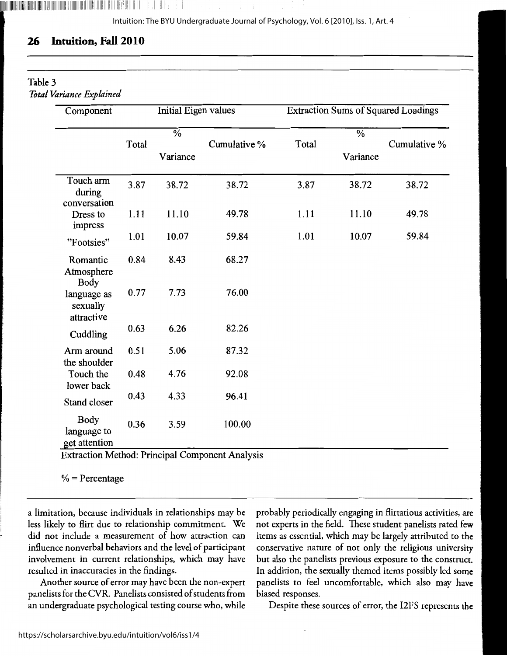## **26 Intuition, Fall 2010**

1,llllllllllllllllllllllllllilllllllllillllllllllllllllllllllllllllllllllllllllllllllllllllllllllllllllllllllllllll!ll l:1111!!11: lililll1 II I II.

| Component                                   |       | Initial Eigen values                 |              | <b>Extraction Sums of Squared Loadings</b> |                                      |              |
|---------------------------------------------|-------|--------------------------------------|--------------|--------------------------------------------|--------------------------------------|--------------|
|                                             | Total | $\overline{\frac{0}{6}}$<br>Variance | Cumulative % | Total                                      | $\overline{\frac{0}{6}}$<br>Variance | Cumulative % |
|                                             |       |                                      |              |                                            |                                      |              |
| Touch arm<br>during<br>conversation         | 3.87  | 38.72                                | 38.72        | 3.87                                       | 38.72                                | 38.72        |
| Dress to<br>impress                         | 1.11  | 11.10                                | 49.78        | 1.11                                       | 11.10                                | 49.78        |
| "Footsies"                                  | 1.01  | 10.07                                | 59.84        | 1.01                                       | 10.07                                | 59.84        |
| Romantic<br>Atmosphere<br><b>Body</b>       | 0.84  | 8.43                                 | 68.27        |                                            |                                      |              |
| language as<br>sexually<br>attractive       | 0.77  | 7.73                                 | 76.00        |                                            |                                      |              |
| Cuddling                                    | 0.63  | 6.26                                 | 82.26        |                                            |                                      |              |
| Arm around<br>the shoulder                  | 0.51  | 5.06                                 | 87.32        |                                            |                                      |              |
| Touch the<br>lower back                     | 0.48  | 4.76                                 | 92.08        |                                            |                                      |              |
| Stand closer                                | 0.43  | 4.33                                 | 96.41        |                                            |                                      |              |
| <b>Body</b><br>language to<br>get attention | 0.36  | 3.59                                 | 100.00       |                                            |                                      |              |

 $%$  = Percentage

a limitation, because individuals in relationships may be less likely to flirt due to relationship commitment. We did not include a measurement of how attraction can influence nonverbal behaviors and the level of participant involvement in current relationships, which may have resulted in inaccuracies in the findings.

Another source of error may have been the non-expert panelists for the CVR. Panelists consisted of students from an undergraduate psychological testing course who, while

probably periodically engaging in flirtatious activities, are not experts in the field. These student panelists rated few items as essential, which may be largely attributed to the conservative nature of not only the religious university but also the panelists previous exposure to the construct. In addition, the sexually themed items possibly led some panelists to feel uncomfortable, which also may have biased responses.

Despite these sources of error, the l2FS represents the

8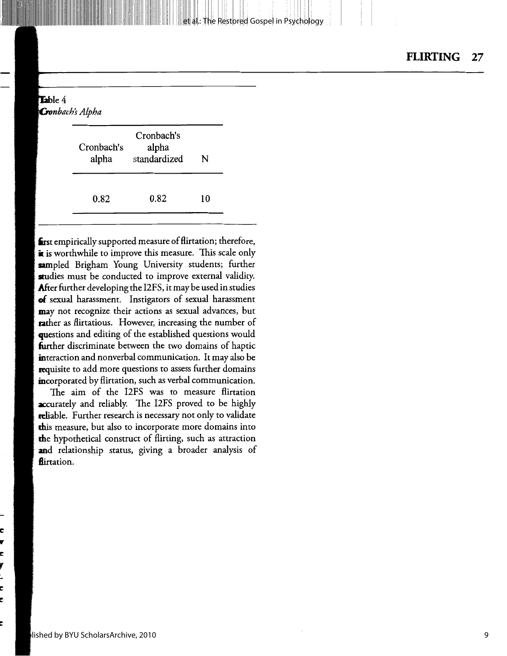#### et al.: The Restored Gospel in Psychology

## Table 4 **Cronbach's Alpha** Cronbach's

| Cronbach's<br>alpha | Crondach s<br>alpha<br>standardized | N  |
|---------------------|-------------------------------------|----|
| 0.82                | 0.82                                | 10 |

**'1st** empirically supported measure of flirtation; therefore, **i** is worthwhile to improve this measure. This scale only sampled Brigham Young University students; further **stu**dies must be conducted to improve external validity. **After** further developing the I2FS, it may be used in studies **of** sexual harassment. Instigators of sexual harassment **may** not recognize their actions as sexual advances, but rather as flirtatious. However, increasing the number of questions and editing of the established questions would **fur**ther discriminate between the two domains of haptic interaction and nonverbal communication. It may also be **requisite** to add more questions to assess further domains incorporated by flirtation, such as verbal communication.

The aim of the I2FS was to measure flirtation **accurately** and reliably. The I2FS proved to be highly **rel**iable. Further research is necessary not only to validate **this** measure, but also to incorporate more domains into **the** hypothetical construct of flirting, such as attraction **and** relationship status, giving a broader analysis of flirtation.

**C llf C**  y t. **C e** 

**e**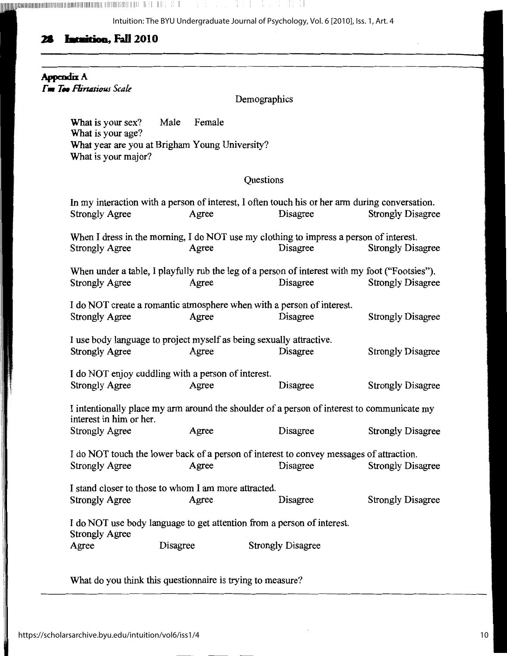[lll',Hlllllil',llllllllllllllllllllllllllllllillll!lllllllllllllllllllllllllllllllllllll!lll!ll llll!lllll1IHl!IIIIIIII 1!1 I 1'11. 

Intuition: The BYU Undergraduate Journal of Psychology, Vol. 6 [2010], Iss. 1, Art. 4

## **28 wwi•ioa, Fall 201 o**

**AppmdixA**   $\Gamma$ *m* Too Flirtatious Scale

Demographics

**What** is your sex? Male Female **What** is your age? **What** year are you at Brigham Young University? What is your major?

## Questions

|                                                      |          | In my interaction with a person of interest, I often touch his or her arm during conversation. |                          |
|------------------------------------------------------|----------|------------------------------------------------------------------------------------------------|--------------------------|
| <b>Strongly Agree</b>                                | Agree    | Disagree                                                                                       | <b>Strongly Disagree</b> |
|                                                      |          |                                                                                                |                          |
|                                                      |          | When I dress in the morning, I do NOT use my clothing to impress a person of interest.         |                          |
| <b>Strongly Agree</b>                                | Agree    | Disagree                                                                                       | <b>Strongly Disagree</b> |
|                                                      |          |                                                                                                |                          |
|                                                      |          | When under a table, I playfully rub the leg of a person of interest with my foot ("Footsies"). |                          |
| <b>Strongly Agree</b>                                | Agree    | Disagree                                                                                       | <b>Strongly Disagree</b> |
|                                                      |          |                                                                                                |                          |
|                                                      |          | I do NOT create a romantic atmosphere when with a person of interest.                          |                          |
| <b>Strongly Agree</b>                                | Agree    | Disagree                                                                                       | <b>Strongly Disagree</b> |
|                                                      |          | I use body language to project myself as being sexually attractive.                            |                          |
| <b>Strongly Agree</b>                                | Agree    | Disagree                                                                                       | <b>Strongly Disagree</b> |
|                                                      |          |                                                                                                |                          |
| I do NOT enjoy cuddling with a person of interest.   |          |                                                                                                |                          |
| <b>Strongly Agree</b>                                | Agree    | Disagree                                                                                       | <b>Strongly Disagree</b> |
|                                                      |          |                                                                                                |                          |
|                                                      |          | I intentionally place my arm around the shoulder of a person of interest to communicate my     |                          |
| interest in him or her.                              |          |                                                                                                |                          |
| <b>Strongly Agree</b>                                | Agree    | Disagree                                                                                       | <b>Strongly Disagree</b> |
|                                                      |          |                                                                                                |                          |
|                                                      |          | I do NOT touch the lower back of a person of interest to convey messages of attraction.        |                          |
| <b>Strongly Agree</b>                                | Agree    | Disagree                                                                                       | <b>Strongly Disagree</b> |
| I stand closer to those to whom I am more attracted. |          |                                                                                                |                          |
|                                                      | Agree    | Disagree                                                                                       | <b>Strongly Disagree</b> |
| <b>Strongly Agree</b>                                |          |                                                                                                |                          |
|                                                      |          | I do NOT use body language to get attention from a person of interest.                         |                          |
| <b>Strongly Agree</b>                                |          |                                                                                                |                          |
| Agree                                                | Disagree | <b>Strongly Disagree</b>                                                                       |                          |
|                                                      |          |                                                                                                |                          |

What do you think this questionnaire is trying to measure?